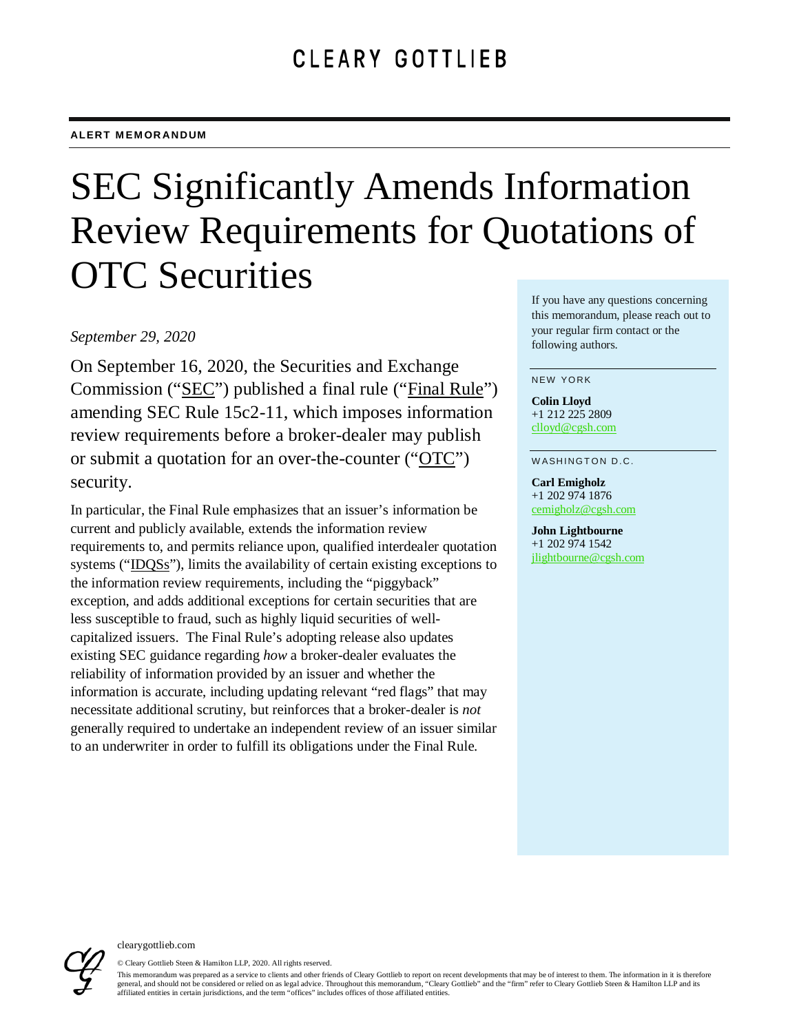# SEC Significantly Amends Information Review Requirements for Quotations of OTC Securities

#### *September 29, 2020*

On September 16, 2020, the Securities and Exchange Commission ("SEC") published a final rule ("Final Rule") amending SEC Rule 15c2-11, which imposes information review requirements before a broker-dealer may publish or submit a quotation for an over-the-counter ("OTC") security.

In particular, the Final Rule emphasizes that an issuer's information be current and publicly available, extends the information review requirements to, and permits reliance upon, qualified interdealer quotation systems ("IDQSs"), limits the availability of certain existing exceptions to the information review requirements, including the "piggyback" exception, and adds additional exceptions for certain securities that are less susceptible to fraud, such as highly liquid securities of wellcapitalized issuers. The Final Rule's adopting release also updates existing SEC guidance regarding *how* a broker-dealer evaluates the reliability of information provided by an issuer and whether the information is accurate, including updating relevant "red flags" that may necessitate additional scrutiny, but reinforces that a broker-dealer is *not* generally required to undertake an independent review of an issuer similar to an underwriter in order to fulfill its obligations under the Final Rule.

If you have any questions concerning this memorandum, please reach out to your regular firm contact or the following authors.

#### NEW YORK

**Colin Lloyd** +1 212 225 2809 [clloyd@cgsh.com](mailto:clloyd@cgsh.com)

WASHINGTON D.C.

**Carl Emigholz** +1 202 974 1876 [cemigholz@cgsh.com](mailto:cemigholz@cgsh.com)

**John Lightbourne** +1 202 974 1542 [jlightbourne@cgsh.com](mailto:jlightbourne@cgsh.com)



© Cleary Gottlieb Steen & Hamilton LLP, 2020. All rights reserved.

This memorandum was prepared as a service to clients and other friends of Cleary Gottlieb to report on recent developments that may be of interest to them. The information in it is therefore general, and should not be considered or relied on as legal advice. Throughout this memorandum, "Cleary Gottlieb" and the "firm" refer to Cleary Gottlieb Steen & Hamilton LLP and its affiliated entities in certain jurisdictions, and the term "offices" includes offices of those affiliated entities.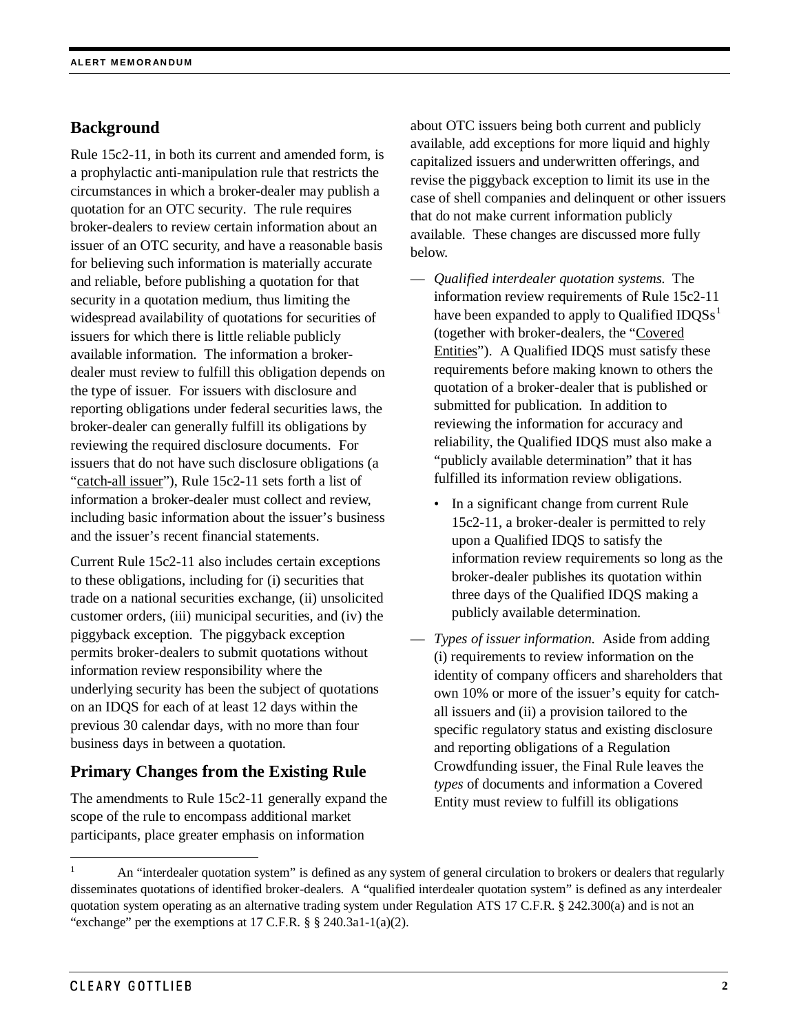# **Background**

Rule 15c2-11, in both its current and amended form, is a prophylactic anti-manipulation rule that restricts the circumstances in which a broker-dealer may publish a quotation for an OTC security. The rule requires broker-dealers to review certain information about an issuer of an OTC security, and have a reasonable basis for believing such information is materially accurate and reliable, before publishing a quotation for that security in a quotation medium, thus limiting the widespread availability of quotations for securities of issuers for which there is little reliable publicly available information. The information a brokerdealer must review to fulfill this obligation depends on the type of issuer. For issuers with disclosure and reporting obligations under federal securities laws, the broker-dealer can generally fulfill its obligations by reviewing the required disclosure documents. For issuers that do not have such disclosure obligations (a "catch-all issuer"), Rule 15c2-11 sets forth a list of information a broker-dealer must collect and review, including basic information about the issuer's business and the issuer's recent financial statements.

Current Rule 15c2-11 also includes certain exceptions to these obligations, including for (i) securities that trade on a national securities exchange, (ii) unsolicited customer orders, (iii) municipal securities, and (iv) the piggyback exception. The piggyback exception permits broker-dealers to submit quotations without information review responsibility where the underlying security has been the subject of quotations on an IDQS for each of at least 12 days within the previous 30 calendar days, with no more than four business days in between a quotation.

#### **Primary Changes from the Existing Rule**

The amendments to Rule 15c2-11 generally expand the scope of the rule to encompass additional market participants, place greater emphasis on information

about OTC issuers being both current and publicly available, add exceptions for more liquid and highly capitalized issuers and underwritten offerings, and revise the piggyback exception to limit its use in the case of shell companies and delinquent or other issuers that do not make current information publicly available. These changes are discussed more fully below.

- *Qualified interdealer quotation systems*. The information review requirements of Rule 15c2-11 have been expanded to apply to Qualified  $IDQSs<sup>1</sup>$  $IDQSs<sup>1</sup>$  $IDQSs<sup>1</sup>$ (together with broker-dealers, the "Covered Entities"). A Qualified IDQS must satisfy these requirements before making known to others the quotation of a broker-dealer that is published or submitted for publication. In addition to reviewing the information for accuracy and reliability, the Qualified IDQS must also make a "publicly available determination" that it has fulfilled its information review obligations.
	- In a significant change from current Rule 15c2-11, a broker-dealer is permitted to rely upon a Qualified IDQS to satisfy the information review requirements so long as the broker-dealer publishes its quotation within three days of the Qualified IDQS making a publicly available determination.
- *Types of issuer information*. Aside from adding (i) requirements to review information on the identity of company officers and shareholders that own 10% or more of the issuer's equity for catchall issuers and (ii) a provision tailored to the specific regulatory status and existing disclosure and reporting obligations of a Regulation Crowdfunding issuer, the Final Rule leaves the *types* of documents and information a Covered Entity must review to fulfill its obligations

<span id="page-1-0"></span> <sup>1</sup> An "interdealer quotation system" is defined as any system of general circulation to brokers or dealers that regularly disseminates quotations of identified broker-dealers. A "qualified interdealer quotation system" is defined as any interdealer quotation system operating as an alternative trading system under Regulation ATS 17 C.F.R. § 242.300(a) and is not an "exchange" per the exemptions at 17 C.F.R.  $\S$   $\S$  240.3a1-1(a)(2).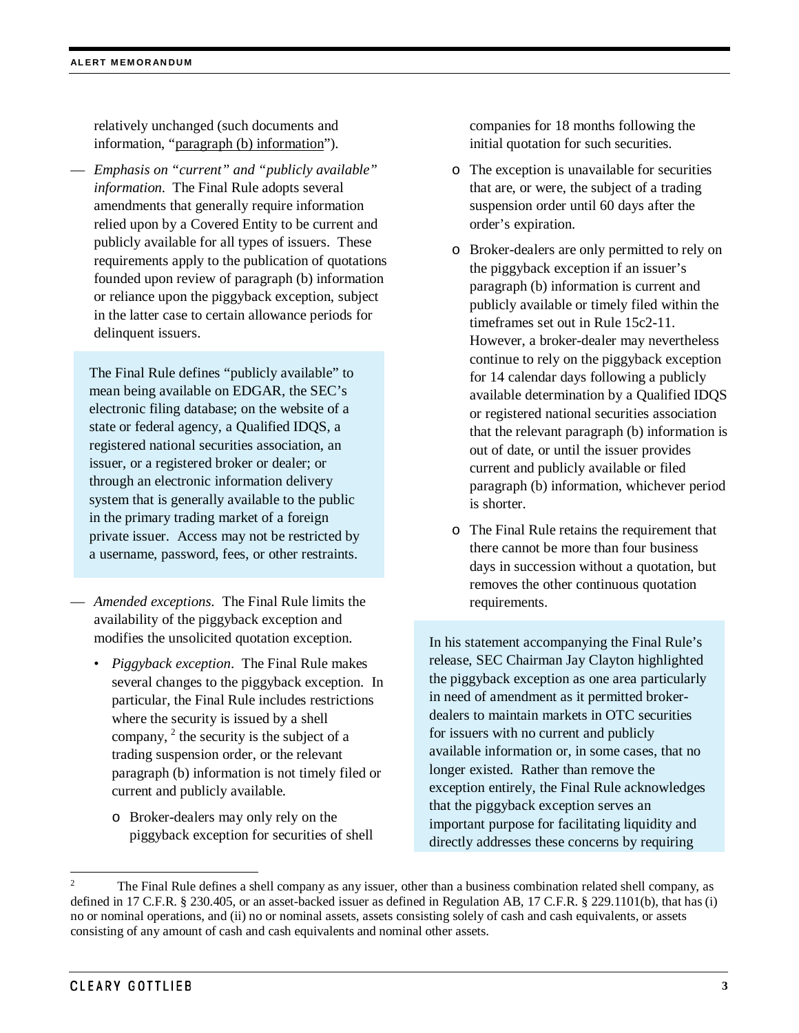relatively unchanged (such documents and information, "paragraph (b) information").

— *Emphasis on "current" and "publicly available" information*. The Final Rule adopts several amendments that generally require information relied upon by a Covered Entity to be current and publicly available for all types of issuers. These requirements apply to the publication of quotations founded upon review of paragraph (b) information or reliance upon the piggyback exception, subject in the latter case to certain allowance periods for delinquent issuers.

The Final Rule defines "publicly available" to mean being available on EDGAR, the SEC's electronic filing database; on the website of a state or federal agency, a Qualified IDQS, a registered national securities association, an issuer, or a registered broker or dealer; or through an electronic information delivery system that is generally available to the public in the primary trading market of a foreign private issuer. Access may not be restricted by a username, password, fees, or other restraints.

- *Amended exceptions.* The Final Rule limits the availability of the piggyback exception and modifies the unsolicited quotation exception.
	- *Piggyback exception*. The Final Rule makes several changes to the piggyback exception. In particular, the Final Rule includes restrictions where the security is issued by a shell company,  $2$  the security is the subject of a trading suspension order, or the relevant paragraph (b) information is not timely filed or current and publicly available.
		- o Broker-dealers may only rely on the piggyback exception for securities of shell

companies for 18 months following the initial quotation for such securities.

- o The exception is unavailable for securities that are, or were, the subject of a trading suspension order until 60 days after the order's expiration.
- o Broker-dealers are only permitted to rely on the piggyback exception if an issuer's paragraph (b) information is current and publicly available or timely filed within the timeframes set out in Rule 15c2-11. However, a broker-dealer may nevertheless continue to rely on the piggyback exception for 14 calendar days following a publicly available determination by a Qualified IDQS or registered national securities association that the relevant paragraph (b) information is out of date, or until the issuer provides current and publicly available or filed paragraph (b) information, whichever period is shorter.
- o The Final Rule retains the requirement that there cannot be more than four business days in succession without a quotation, but removes the other continuous quotation requirements.

In his statement accompanying the Final Rule's release, SEC Chairman Jay Clayton highlighted the piggyback exception as one area particularly in need of amendment as it permitted brokerdealers to maintain markets in OTC securities for issuers with no current and publicly available information or, in some cases, that no longer existed. Rather than remove the exception entirely, the Final Rule acknowledges that the piggyback exception serves an important purpose for facilitating liquidity and directly addresses these concerns by requiring

<span id="page-2-0"></span> <sup>2</sup> The Final Rule defines a shell company as any issuer, other than a business combination related shell company, as defined in 17 C.F.R. § 230.405, or an asset-backed issuer as defined in Regulation AB, 17 C.F.R. § 229.1101(b), that has (i) no or nominal operations, and (ii) no or nominal assets, assets consisting solely of cash and cash equivalents, or assets consisting of any amount of cash and cash equivalents and nominal other assets.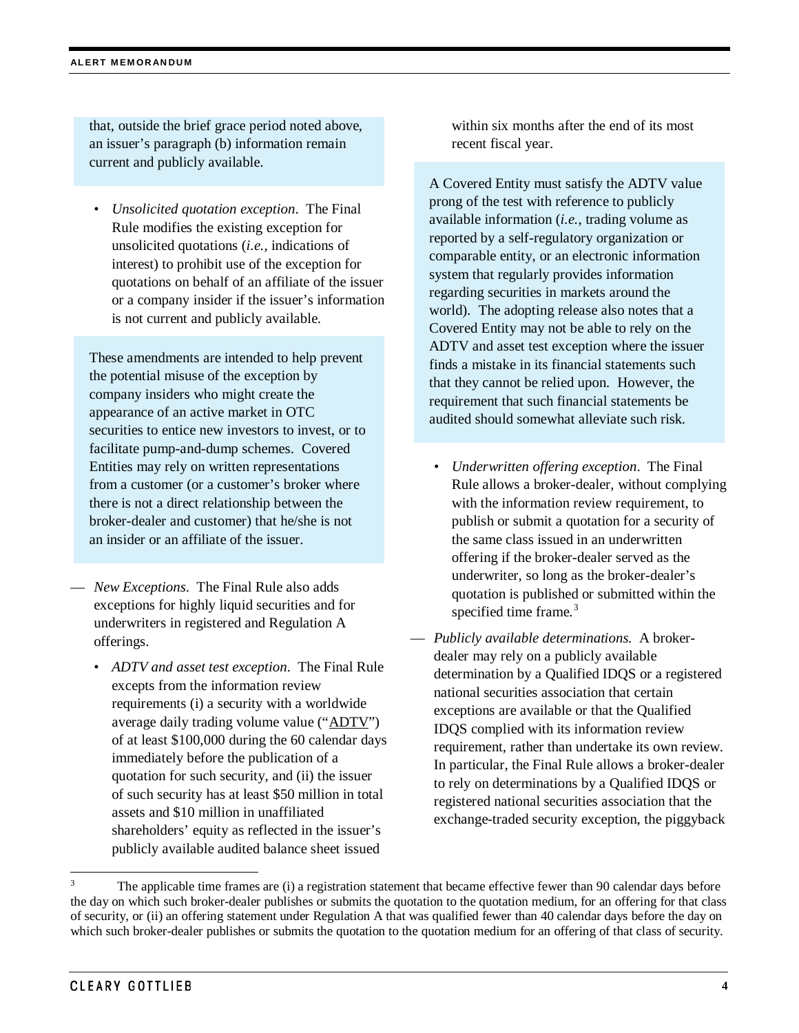that, outside the brief grace period noted above, an issuer's paragraph (b) information remain current and publicly available.

• *Unsolicited quotation exception*. The Final Rule modifies the existing exception for unsolicited quotations (*i.e.*, indications of interest) to prohibit use of the exception for quotations on behalf of an affiliate of the issuer or a company insider if the issuer's information is not current and publicly available.

These amendments are intended to help prevent the potential misuse of the exception by company insiders who might create the appearance of an active market in OTC securities to entice new investors to invest, or to facilitate pump-and-dump schemes. Covered Entities may rely on written representations from a customer (or a customer's broker where there is not a direct relationship between the broker-dealer and customer) that he/she is not an insider or an affiliate of the issuer.

- *New Exceptions*. The Final Rule also adds exceptions for highly liquid securities and for underwriters in registered and Regulation A offerings.
	- *ADTV and asset test exception*. The Final Rule excepts from the information review requirements (i) a security with a worldwide average daily trading volume value ("ADTV") of at least \$100,000 during the 60 calendar days immediately before the publication of a quotation for such security, and (ii) the issuer of such security has at least \$50 million in total assets and \$10 million in unaffiliated shareholders' equity as reflected in the issuer's publicly available audited balance sheet issued

within six months after the end of its most recent fiscal year.

A Covered Entity must satisfy the ADTV value prong of the test with reference to publicly available information (*i.e.*, trading volume as reported by a self-regulatory organization or comparable entity, or an electronic information system that regularly provides information regarding securities in markets around the world). The adopting release also notes that a Covered Entity may not be able to rely on the ADTV and asset test exception where the issuer finds a mistake in its financial statements such that they cannot be relied upon. However, the requirement that such financial statements be audited should somewhat alleviate such risk.

- *Underwritten offering exception*. The Final Rule allows a broker-dealer, without complying with the information review requirement, to publish or submit a quotation for a security of the same class issued in an underwritten offering if the broker-dealer served as the underwriter, so long as the broker-dealer's quotation is published or submitted within the specified time frame. $3$
- *Publicly available determinations.* A brokerdealer may rely on a publicly available determination by a Qualified IDQS or a registered national securities association that certain exceptions are available or that the Qualified IDQS complied with its information review requirement, rather than undertake its own review. In particular, the Final Rule allows a broker-dealer to rely on determinations by a Qualified IDQS or registered national securities association that the exchange-traded security exception, the piggyback

<span id="page-3-0"></span>The applicable time frames are (i) a registration statement that became effective fewer than 90 calendar days before the day on which such broker-dealer publishes or submits the quotation to the quotation medium, for an offering for that class of security, or (ii) an offering statement under Regulation A that was qualified fewer than 40 calendar days before the day on which such broker-dealer publishes or submits the quotation to the quotation medium for an offering of that class of security.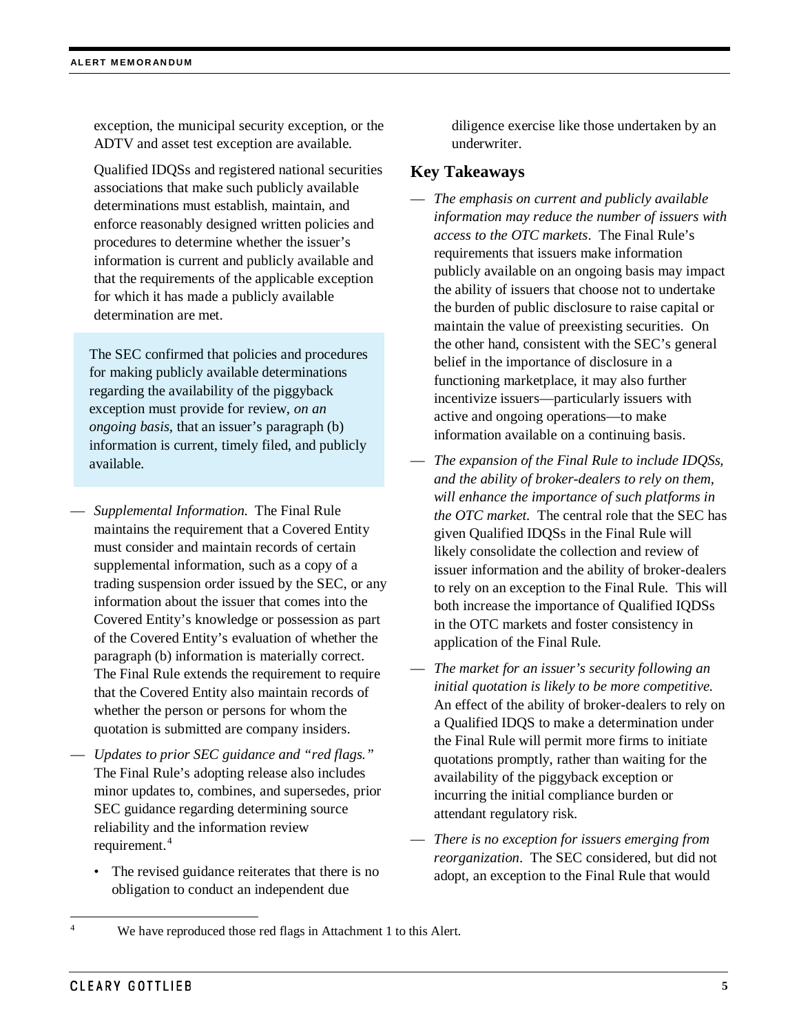exception, the municipal security exception, or the ADTV and asset test exception are available.

Qualified IDQSs and registered national securities associations that make such publicly available determinations must establish, maintain, and enforce reasonably designed written policies and procedures to determine whether the issuer's information is current and publicly available and that the requirements of the applicable exception for which it has made a publicly available determination are met.

The SEC confirmed that policies and procedures for making publicly available determinations regarding the availability of the piggyback exception must provide for review, *on an ongoing basis*, that an issuer's paragraph (b) information is current, timely filed, and publicly available.

- *Supplemental Information*. The Final Rule maintains the requirement that a Covered Entity must consider and maintain records of certain supplemental information, such as a copy of a trading suspension order issued by the SEC, or any information about the issuer that comes into the Covered Entity's knowledge or possession as part of the Covered Entity's evaluation of whether the paragraph (b) information is materially correct. The Final Rule extends the requirement to require that the Covered Entity also maintain records of whether the person or persons for whom the quotation is submitted are company insiders.
- *Updates to prior SEC guidance and "red flags."* The Final Rule's adopting release also includes minor updates to, combines, and supersedes, prior SEC guidance regarding determining source reliability and the information review requirement. [4](#page-4-0)
	- The revised guidance reiterates that there is no obligation to conduct an independent due

diligence exercise like those undertaken by an underwriter.

## **Key Takeaways**

- *The emphasis on current and publicly available information may reduce the number of issuers with access to the OTC markets*. The Final Rule's requirements that issuers make information publicly available on an ongoing basis may impact the ability of issuers that choose not to undertake the burden of public disclosure to raise capital or maintain the value of preexisting securities. On the other hand, consistent with the SEC's general belief in the importance of disclosure in a functioning marketplace, it may also further incentivize issuers—particularly issuers with active and ongoing operations—to make information available on a continuing basis.
- *The expansion of the Final Rule to include IDQSs, and the ability of broker-dealers to rely on them, will enhance the importance of such platforms in the OTC market.* The central role that the SEC has given Qualified IDQSs in the Final Rule will likely consolidate the collection and review of issuer information and the ability of broker-dealers to rely on an exception to the Final Rule. This will both increase the importance of Qualified IQDSs in the OTC markets and foster consistency in application of the Final Rule.
- *The market for an issuer's security following an initial quotation is likely to be more competitive.* An effect of the ability of broker-dealers to rely on a Qualified IDQS to make a determination under the Final Rule will permit more firms to initiate quotations promptly, rather than waiting for the availability of the piggyback exception or incurring the initial compliance burden or attendant regulatory risk.
- *There is no exception for issuers emerging from reorganization*. The SEC considered, but did not adopt, an exception to the Final Rule that would

<span id="page-4-0"></span><sup>&</sup>lt;sup>4</sup> We have reproduced those red flags in Attachment 1 to this Alert.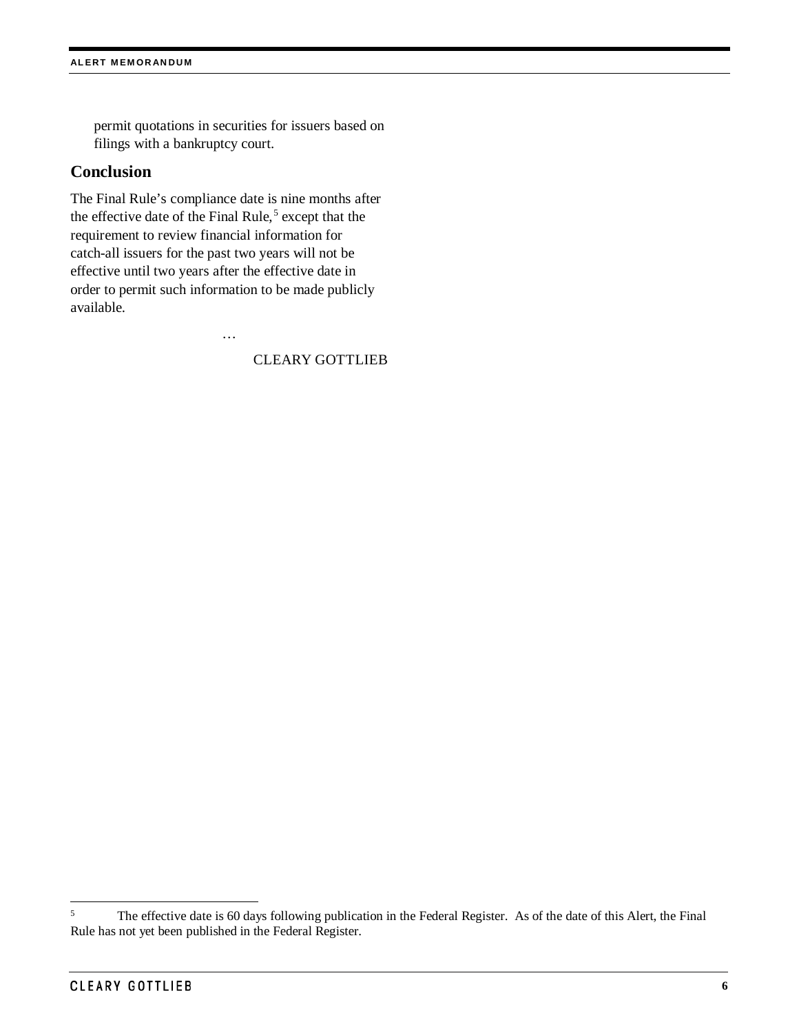permit quotations in securities for issuers based on filings with a bankruptcy court.

#### **Conclusion**

The Final Rule's compliance date is nine months after the effective date of the Final Rule,<sup>[5](#page-5-0)</sup> except that the requirement to review financial information for catch-all issuers for the past two years will not be effective until two years after the effective date in order to permit such information to be made publicly available.

…

#### CLEARY GOTTLIEB

<span id="page-5-0"></span><sup>&</sup>lt;sup>5</sup> The effective date is 60 days following publication in the Federal Register. As of the date of this Alert, the Final Rule has not yet been published in the Federal Register.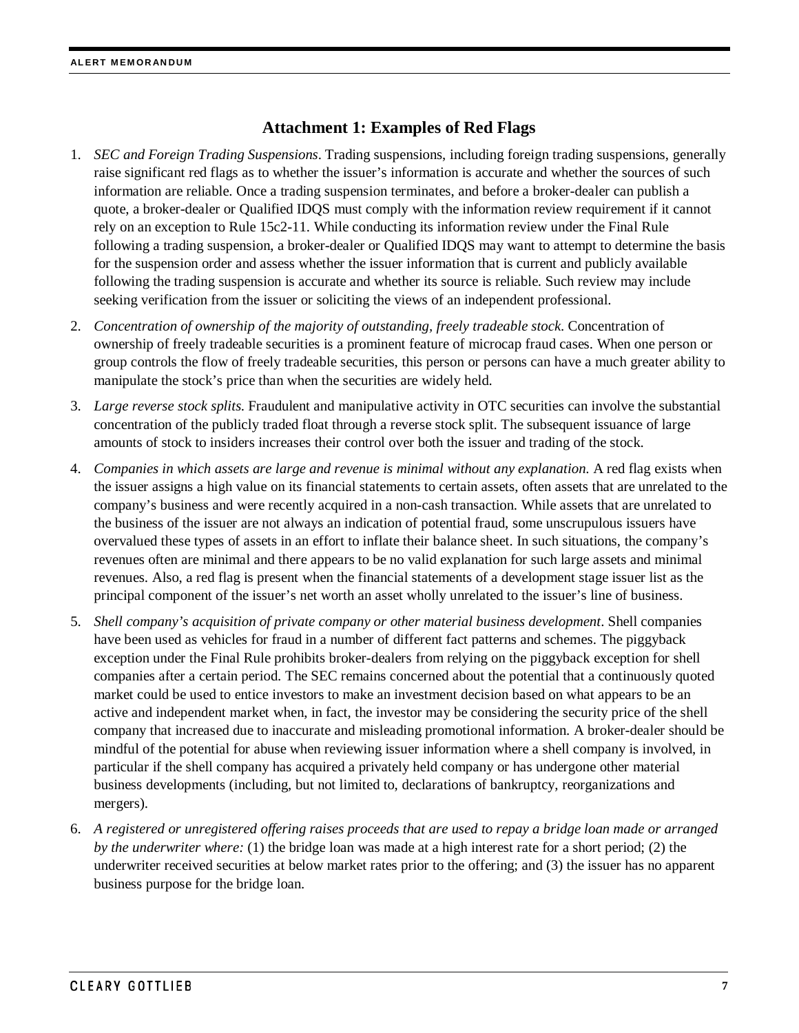## **Attachment 1: Examples of Red Flags**

- 1. *SEC and Foreign Trading Suspensions*. Trading suspensions, including foreign trading suspensions, generally raise significant red flags as to whether the issuer's information is accurate and whether the sources of such information are reliable. Once a trading suspension terminates, and before a broker-dealer can publish a quote, a broker-dealer or Qualified IDQS must comply with the information review requirement if it cannot rely on an exception to Rule 15c2-11. While conducting its information review under the Final Rule following a trading suspension, a broker-dealer or Qualified IDQS may want to attempt to determine the basis for the suspension order and assess whether the issuer information that is current and publicly available following the trading suspension is accurate and whether its source is reliable. Such review may include seeking verification from the issuer or soliciting the views of an independent professional.
- 2. *Concentration of ownership of the majority of outstanding, freely tradeable stock*. Concentration of ownership of freely tradeable securities is a prominent feature of microcap fraud cases. When one person or group controls the flow of freely tradeable securities, this person or persons can have a much greater ability to manipulate the stock's price than when the securities are widely held.
- 3. *Large reverse stock splits*. Fraudulent and manipulative activity in OTC securities can involve the substantial concentration of the publicly traded float through a reverse stock split. The subsequent issuance of large amounts of stock to insiders increases their control over both the issuer and trading of the stock.
- 4. *Companies in which assets are large and revenue is minimal without any explanation*. A red flag exists when the issuer assigns a high value on its financial statements to certain assets, often assets that are unrelated to the company's business and were recently acquired in a non-cash transaction. While assets that are unrelated to the business of the issuer are not always an indication of potential fraud, some unscrupulous issuers have overvalued these types of assets in an effort to inflate their balance sheet. In such situations, the company's revenues often are minimal and there appears to be no valid explanation for such large assets and minimal revenues. Also, a red flag is present when the financial statements of a development stage issuer list as the principal component of the issuer's net worth an asset wholly unrelated to the issuer's line of business.
- 5. *Shell company's acquisition of private company or other material business development*. Shell companies have been used as vehicles for fraud in a number of different fact patterns and schemes. The piggyback exception under the Final Rule prohibits broker-dealers from relying on the piggyback exception for shell companies after a certain period. The SEC remains concerned about the potential that a continuously quoted market could be used to entice investors to make an investment decision based on what appears to be an active and independent market when, in fact, the investor may be considering the security price of the shell company that increased due to inaccurate and misleading promotional information. A broker-dealer should be mindful of the potential for abuse when reviewing issuer information where a shell company is involved, in particular if the shell company has acquired a privately held company or has undergone other material business developments (including, but not limited to, declarations of bankruptcy, reorganizations and mergers).
- 6. *A registered or unregistered offering raises proceeds that are used to repay a bridge loan made or arranged by the underwriter where:* (1) the bridge loan was made at a high interest rate for a short period; (2) the underwriter received securities at below market rates prior to the offering; and (3) the issuer has no apparent business purpose for the bridge loan.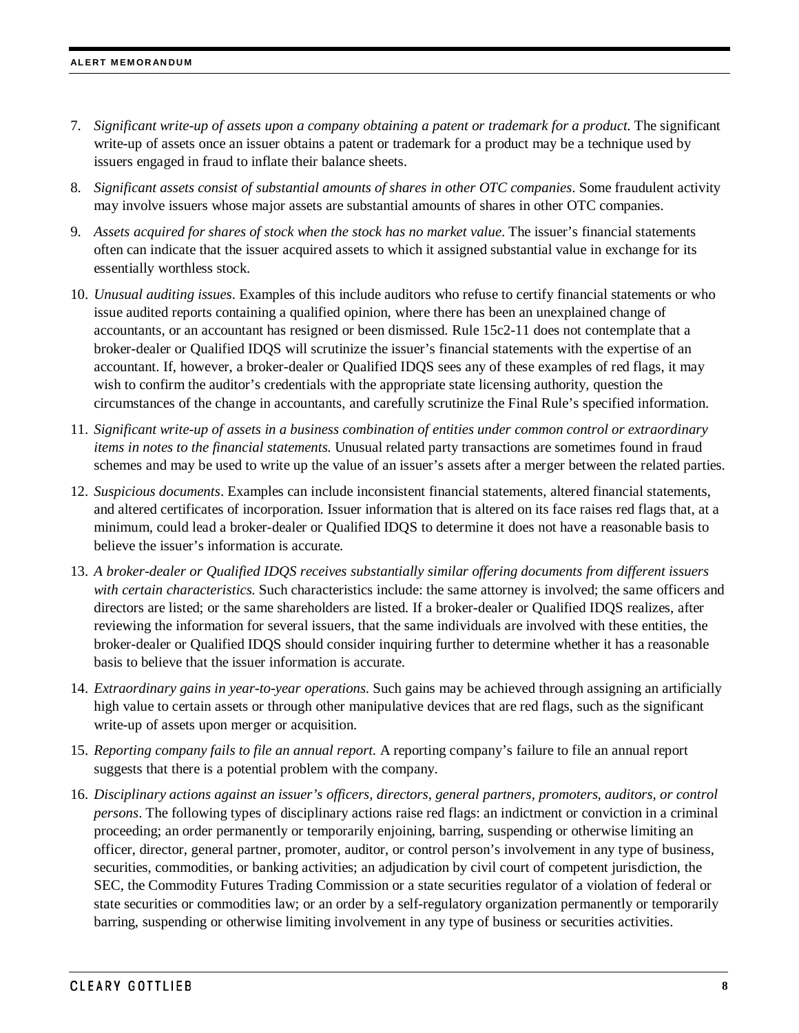- 7. *Significant write-up of assets upon a company obtaining a patent or trademark for a product.* The significant write-up of assets once an issuer obtains a patent or trademark for a product may be a technique used by issuers engaged in fraud to inflate their balance sheets.
- 8. *Significant assets consist of substantial amounts of shares in other OTC companies*. Some fraudulent activity may involve issuers whose major assets are substantial amounts of shares in other OTC companies.
- 9. *Assets acquired for shares of stock when the stock has no market value*. The issuer's financial statements often can indicate that the issuer acquired assets to which it assigned substantial value in exchange for its essentially worthless stock.
- 10. *Unusual auditing issues*. Examples of this include auditors who refuse to certify financial statements or who issue audited reports containing a qualified opinion, where there has been an unexplained change of accountants, or an accountant has resigned or been dismissed. Rule 15c2-11 does not contemplate that a broker-dealer or Qualified IDQS will scrutinize the issuer's financial statements with the expertise of an accountant. If, however, a broker-dealer or Qualified IDQS sees any of these examples of red flags, it may wish to confirm the auditor's credentials with the appropriate state licensing authority, question the circumstances of the change in accountants, and carefully scrutinize the Final Rule's specified information.
- 11. *Significant write-up of assets in a business combination of entities under common control or extraordinary items in notes to the financial statements*. Unusual related party transactions are sometimes found in fraud schemes and may be used to write up the value of an issuer's assets after a merger between the related parties.
- 12. *Suspicious documents*. Examples can include inconsistent financial statements, altered financial statements, and altered certificates of incorporation. Issuer information that is altered on its face raises red flags that, at a minimum, could lead a broker-dealer or Qualified IDQS to determine it does not have a reasonable basis to believe the issuer's information is accurate.
- 13. *A broker-dealer or Qualified IDQS receives substantially similar offering documents from different issuers with certain characteristics*. Such characteristics include: the same attorney is involved; the same officers and directors are listed; or the same shareholders are listed. If a broker-dealer or Qualified IDQS realizes, after reviewing the information for several issuers, that the same individuals are involved with these entities, the broker-dealer or Qualified IDQS should consider inquiring further to determine whether it has a reasonable basis to believe that the issuer information is accurate.
- 14. *Extraordinary gains in year-to-year operations*. Such gains may be achieved through assigning an artificially high value to certain assets or through other manipulative devices that are red flags, such as the significant write-up of assets upon merger or acquisition.
- 15. *Reporting company fails to file an annual report*. A reporting company's failure to file an annual report suggests that there is a potential problem with the company.
- 16. *Disciplinary actions against an issuer's officers, directors, general partners, promoters, auditors, or control persons*. The following types of disciplinary actions raise red flags: an indictment or conviction in a criminal proceeding; an order permanently or temporarily enjoining, barring, suspending or otherwise limiting an officer, director, general partner, promoter, auditor, or control person's involvement in any type of business, securities, commodities, or banking activities; an adjudication by civil court of competent jurisdiction, the SEC, the Commodity Futures Trading Commission or a state securities regulator of a violation of federal or state securities or commodities law; or an order by a self-regulatory organization permanently or temporarily barring, suspending or otherwise limiting involvement in any type of business or securities activities.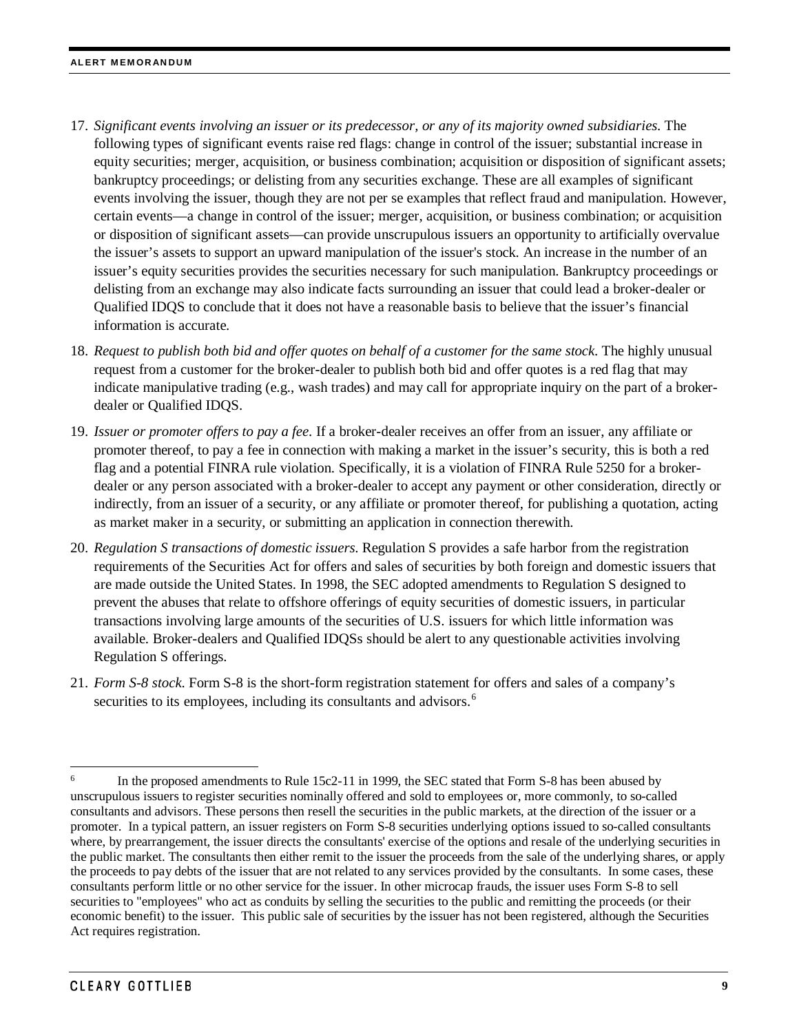- 17. *Significant events involving an issuer or its predecessor, or any of its majority owned subsidiaries*. The following types of significant events raise red flags: change in control of the issuer; substantial increase in equity securities; merger, acquisition, or business combination; acquisition or disposition of significant assets; bankruptcy proceedings; or delisting from any securities exchange. These are all examples of significant events involving the issuer, though they are not per se examples that reflect fraud and manipulation. However, certain events—a change in control of the issuer; merger, acquisition, or business combination; or acquisition or disposition of significant assets—can provide unscrupulous issuers an opportunity to artificially overvalue the issuer's assets to support an upward manipulation of the issuer's stock. An increase in the number of an issuer's equity securities provides the securities necessary for such manipulation. Bankruptcy proceedings or delisting from an exchange may also indicate facts surrounding an issuer that could lead a broker-dealer or Qualified IDQS to conclude that it does not have a reasonable basis to believe that the issuer's financial information is accurate.
- 18. *Request to publish both bid and offer quotes on behalf of a customer for the same stock*. The highly unusual request from a customer for the broker-dealer to publish both bid and offer quotes is a red flag that may indicate manipulative trading (e.g., wash trades) and may call for appropriate inquiry on the part of a brokerdealer or Qualified IDQS.
- 19. *Issuer or promoter offers to pay a fee*. If a broker-dealer receives an offer from an issuer, any affiliate or promoter thereof, to pay a fee in connection with making a market in the issuer's security, this is both a red flag and a potential FINRA rule violation. Specifically, it is a violation of FINRA Rule 5250 for a brokerdealer or any person associated with a broker-dealer to accept any payment or other consideration, directly or indirectly, from an issuer of a security, or any affiliate or promoter thereof, for publishing a quotation, acting as market maker in a security, or submitting an application in connection therewith.
- 20. *Regulation S transactions of domestic issuers*. Regulation S provides a safe harbor from the registration requirements of the Securities Act for offers and sales of securities by both foreign and domestic issuers that are made outside the United States. In 1998, the SEC adopted amendments to Regulation S designed to prevent the abuses that relate to offshore offerings of equity securities of domestic issuers, in particular transactions involving large amounts of the securities of U.S. issuers for which little information was available. Broker-dealers and Qualified IDQSs should be alert to any questionable activities involving Regulation S offerings.
- 21. *Form S-8 stock*. Form S-8 is the short-form registration statement for offers and sales of a company's securities to its employees, including its consultants and advisors.<sup>[6](#page-8-0)</sup>

<span id="page-8-0"></span><sup>&</sup>lt;sup>6</sup> In the proposed amendments to Rule 15c2-11 in 1999, the SEC stated that Form S-8 has been abused by unscrupulous issuers to register securities nominally offered and sold to employees or, more commonly, to so-called consultants and advisors. These persons then resell the securities in the public markets, at the direction of the issuer or a promoter. In a typical pattern, an issuer registers on Form S-8 securities underlying options issued to so-called consultants where, by prearrangement, the issuer directs the consultants' exercise of the options and resale of the underlying securities in the public market. The consultants then either remit to the issuer the proceeds from the sale of the underlying shares, or apply the proceeds to pay debts of the issuer that are not related to any services provided by the consultants. In some cases, these consultants perform little or no other service for the issuer. In other microcap frauds, the issuer uses Form S-8 to sell securities to "employees" who act as conduits by selling the securities to the public and remitting the proceeds (or their economic benefit) to the issuer. This public sale of securities by the issuer has not been registered, although the Securities Act requires registration.